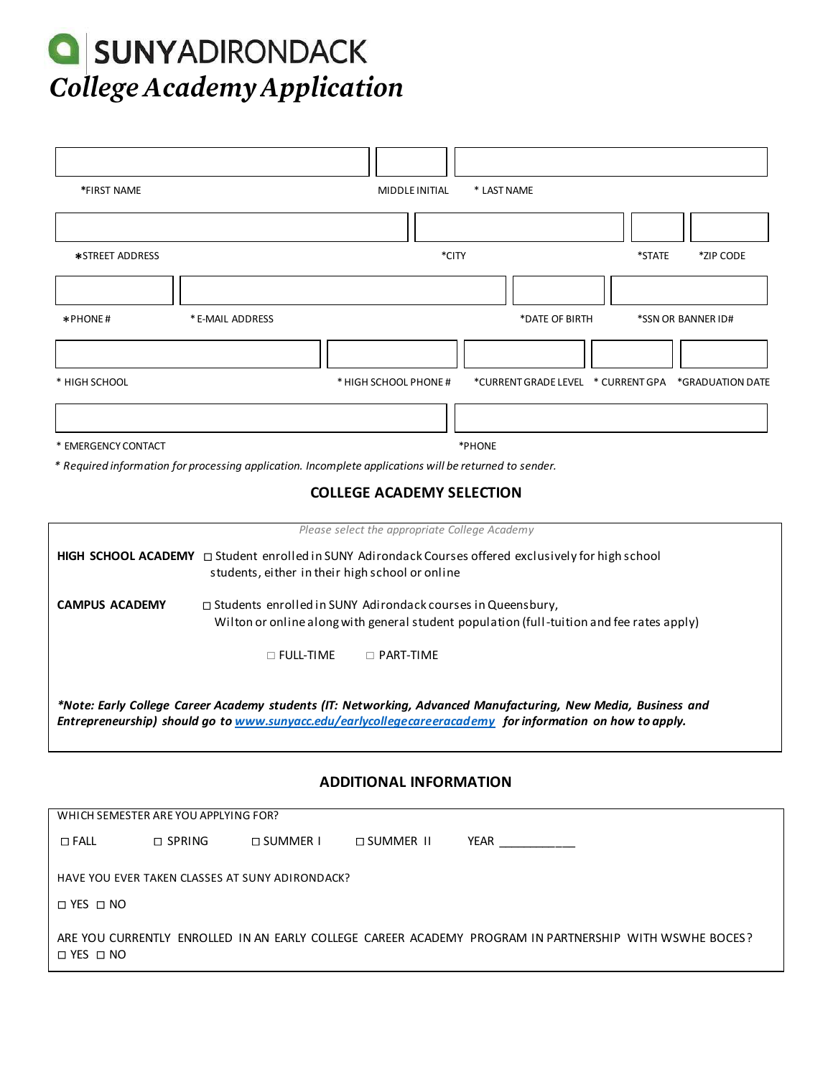## **Q** SUNYADIRONDACK College Academy Application

| *FIRST NAME                                                                                                                                                                                                                | MIDDLE INITIAL<br>* LAST NAME                                                                          |                                               |                |                    |  |
|----------------------------------------------------------------------------------------------------------------------------------------------------------------------------------------------------------------------------|--------------------------------------------------------------------------------------------------------|-----------------------------------------------|----------------|--------------------|--|
|                                                                                                                                                                                                                            |                                                                                                        |                                               |                |                    |  |
| *STREET ADDRESS                                                                                                                                                                                                            | *CITY<br>*STATE<br>*ZIP CODE                                                                           |                                               |                |                    |  |
|                                                                                                                                                                                                                            |                                                                                                        |                                               |                |                    |  |
| *PHONE#                                                                                                                                                                                                                    | * E-MAIL ADDRESS                                                                                       |                                               | *DATE OF BIRTH | *SSN OR BANNER ID# |  |
|                                                                                                                                                                                                                            |                                                                                                        |                                               |                |                    |  |
| * HIGH SCHOOL                                                                                                                                                                                                              |                                                                                                        | * HIGH SCHOOL PHONE #                         |                |                    |  |
|                                                                                                                                                                                                                            |                                                                                                        |                                               |                |                    |  |
| * EMERGENCY CONTACT                                                                                                                                                                                                        |                                                                                                        |                                               | *PHONE         |                    |  |
|                                                                                                                                                                                                                            | * Required information for processing application. Incomplete applications will be returned to sender. | <b>COLLEGE ACADEMY SELECTION</b>              |                |                    |  |
|                                                                                                                                                                                                                            |                                                                                                        |                                               |                |                    |  |
|                                                                                                                                                                                                                            |                                                                                                        | Please select the appropriate College Academy |                |                    |  |
| HIGH SCHOOL ACADEMY □ Student enrolled in SUNY Adirondack Courses offered exclusively for high school<br>students, either in their high school or online                                                                   |                                                                                                        |                                               |                |                    |  |
| <b>CAMPUS ACADEMY</b><br>□ Students enrolled in SUNY Adirondack courses in Queensbury,                                                                                                                                     |                                                                                                        |                                               |                |                    |  |
| Wilton or online along with general student population (full-tuition and fee rates apply)                                                                                                                                  |                                                                                                        |                                               |                |                    |  |
|                                                                                                                                                                                                                            | $\Box$ Full-time                                                                                       | $\Box$ PART-TIME                              |                |                    |  |
| *Note: Early College Career Academy students (IT: Networking, Advanced Manufacturing, New Media, Business and<br>Entrepreneurship) should go to www.sunyacc.edu/earlycollegecareeracademy for information on how to apply. |                                                                                                        |                                               |                |                    |  |
| <b>ADDITIONAL INFORMATION</b>                                                                                                                                                                                              |                                                                                                        |                                               |                |                    |  |

| WHICH SEMESTER ARE YOU APPLYING FOR?            |                  |                      |                      |                                                                                                        |  |  |
|-------------------------------------------------|------------------|----------------------|----------------------|--------------------------------------------------------------------------------------------------------|--|--|
| $\square$ FALL                                  | $\square$ SPRING | $\Box$ SUMMER $\Box$ | $\Box$ summer $\Box$ | YEAR                                                                                                   |  |  |
| HAVE YOU EVER TAKEN CLASSES AT SUNY ADIRONDACK? |                  |                      |                      |                                                                                                        |  |  |
| $\Box$ YES $\Box$ NO                            |                  |                      |                      |                                                                                                        |  |  |
| $\Box$ YES $\Box$ NO                            |                  |                      |                      | ARE YOU CURRENTLY ENROLLED IN AN EARLY COLLEGE CAREER ACADEMY PROGRAM IN PARTNERSHIP WITH WSWHE BOCES? |  |  |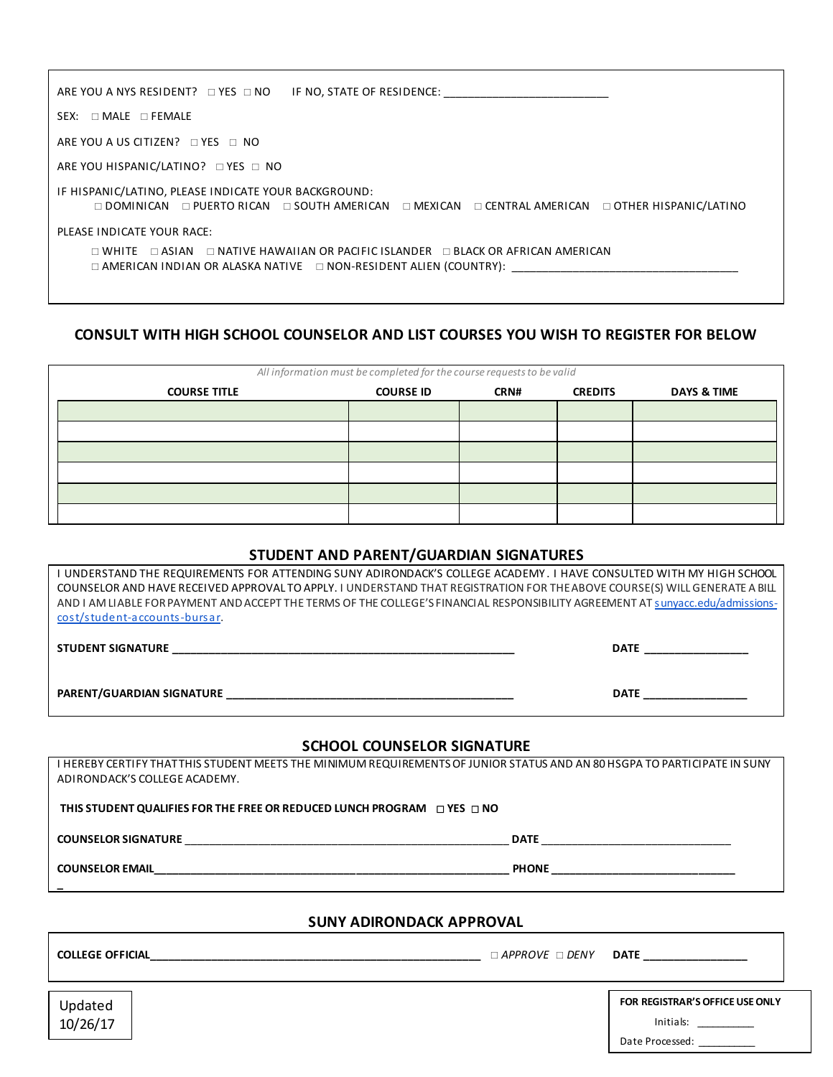| ARE YOU A NYS RESIDENT? $\Box$ YES $\Box$ NO<br>IF NO, STATE OF RESIDENCE: THE STATE OF RESIDENCE:                                                                                          |  |  |  |  |
|---------------------------------------------------------------------------------------------------------------------------------------------------------------------------------------------|--|--|--|--|
| $SEX: \Box MALE \Box FEMALE$                                                                                                                                                                |  |  |  |  |
| ARE YOU A US CITIZEN? $\Box$ YES $\Box$ NO                                                                                                                                                  |  |  |  |  |
| ARE YOU HISPANIC/LATINO? O YES O NO                                                                                                                                                         |  |  |  |  |
| IF HISPANIC/LATINO, PLEASE INDICATE YOUR BACKGROUND:<br>$\Box$ DOMINICAN $\Box$ PUERTO RICAN $\Box$ SOUTH AMERICAN $\Box$ MEXICAN $\Box$ CENTRAL AMERICAN $\Box$ OTHER HISPANIC/LATINO      |  |  |  |  |
| PLEASE INDICATE YOUR RACE:                                                                                                                                                                  |  |  |  |  |
| $\Box$ WHITE $\Box$ ASIAN $\Box$ NATIVE HAWAIIAN OR PACIFIC ISLANDER $\Box$ BLACK OR AFRICAN AMERICAN<br>$\Box$ AMERICAN INDIAN OR ALASKA NATIVE $\quad \Box$ NON-RESIDENT ALIEN (COUNTRY): |  |  |  |  |
|                                                                                                                                                                                             |  |  |  |  |

## **CONSULT WITH HIGH SCHOOL COUNSELOR AND LIST COURSES YOU WISH TO REGISTER FOR BELOW**

| All information must be completed for the course requests to be valid |             |                |                        |  |  |
|-----------------------------------------------------------------------|-------------|----------------|------------------------|--|--|
| <b>COURSE ID</b>                                                      | <b>CRN#</b> | <b>CREDITS</b> | <b>DAYS &amp; TIME</b> |  |  |
|                                                                       |             |                |                        |  |  |
|                                                                       |             |                |                        |  |  |
|                                                                       |             |                |                        |  |  |
|                                                                       |             |                |                        |  |  |
|                                                                       |             |                |                        |  |  |
|                                                                       |             |                |                        |  |  |
|                                                                       |             |                |                        |  |  |

## **STUDENT AND PARENT/GUARDIAN SIGNATURES**

| I UNDERSTAND THE REQUIREMENTS FOR ATTENDING SUNY ADIRONDACK'S COLLEGE ACADEMY. I HAVE CONSULTED WITH MY HIGH SCHOOL<br>COUNSELOR AND HAVE RECEIVED APPROVAL TO APPLY. I UNDERSTAND THAT REGISTRATION FOR THE ABOVE COURSE(S) WILL GENERATE A BILL<br>AND I AM LIABLE FOR PAYMENT AND ACCEPT THE TERMS OF THE COLLEGE'S FINANCIAL RESPONSIBILITY AGREEMENT AT sunyacc.edu/admissions-<br>cost/student-accounts-bursar. |                                                                                                                                                                                                                                                                                      |  |  |  |  |
|-----------------------------------------------------------------------------------------------------------------------------------------------------------------------------------------------------------------------------------------------------------------------------------------------------------------------------------------------------------------------------------------------------------------------|--------------------------------------------------------------------------------------------------------------------------------------------------------------------------------------------------------------------------------------------------------------------------------------|--|--|--|--|
|                                                                                                                                                                                                                                                                                                                                                                                                                       |                                                                                                                                                                                                                                                                                      |  |  |  |  |
|                                                                                                                                                                                                                                                                                                                                                                                                                       | DATE ___________________                                                                                                                                                                                                                                                             |  |  |  |  |
| <b>SCHOOL COUNSELOR SIGNATURE</b>                                                                                                                                                                                                                                                                                                                                                                                     |                                                                                                                                                                                                                                                                                      |  |  |  |  |
| I HEREBY CERTIFY THATTHIS STUDENT MEETS THE MINIMUM REQUIREMENTS OF JUNIOR STATUS AND AN 80 HSGPA TO PARTICIPATE IN SUNY<br>ADIRONDACK'S COLLEGE ACADEMY.                                                                                                                                                                                                                                                             |                                                                                                                                                                                                                                                                                      |  |  |  |  |
| THIS STUDENT QUALIFIES FOR THE FREE OR REDUCED LUNCH PROGRAM $\Box$ YES $\Box$ NO                                                                                                                                                                                                                                                                                                                                     |                                                                                                                                                                                                                                                                                      |  |  |  |  |
|                                                                                                                                                                                                                                                                                                                                                                                                                       |                                                                                                                                                                                                                                                                                      |  |  |  |  |
| COUNSELOR EMAIL PHONE PHONE PHONE PHONE PHONE                                                                                                                                                                                                                                                                                                                                                                         |                                                                                                                                                                                                                                                                                      |  |  |  |  |
| <b>SUNY ADIRONDACK APPROVAL</b>                                                                                                                                                                                                                                                                                                                                                                                       |                                                                                                                                                                                                                                                                                      |  |  |  |  |
|                                                                                                                                                                                                                                                                                                                                                                                                                       | <b>DATE Example 20</b>                                                                                                                                                                                                                                                               |  |  |  |  |
| Updated<br>10/26/17                                                                                                                                                                                                                                                                                                                                                                                                   | FOR REGISTRAR'S OFFICE USE ONLY<br>Initials: The control of the control of the control of the control of the control of the control of the control of the control of the control of the control of the control of the control of the control of the control of th<br>Date Processed: |  |  |  |  |